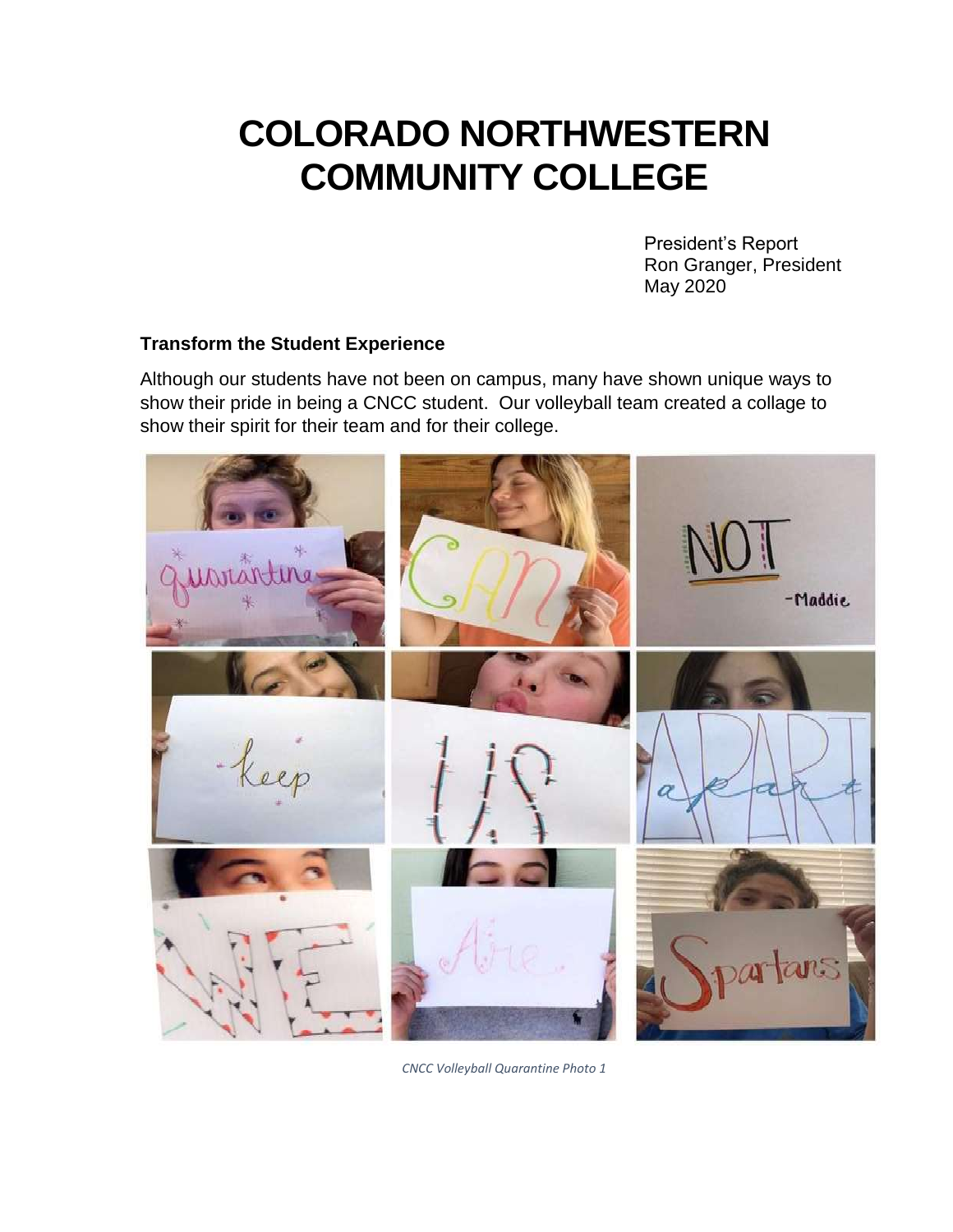# **COLORADO NORTHWESTERN COMMUNITY COLLEGE**

President's Report Ron Granger, President May 2020

## **Transform the Student Experience**

 show their pride in being a CNCC student. Our volleyball team created a collage to Although our students have not been on campus, many have shown unique ways to show their spirit for their team and for their college.



*CNCC Volleyball Quarantine Photo 1*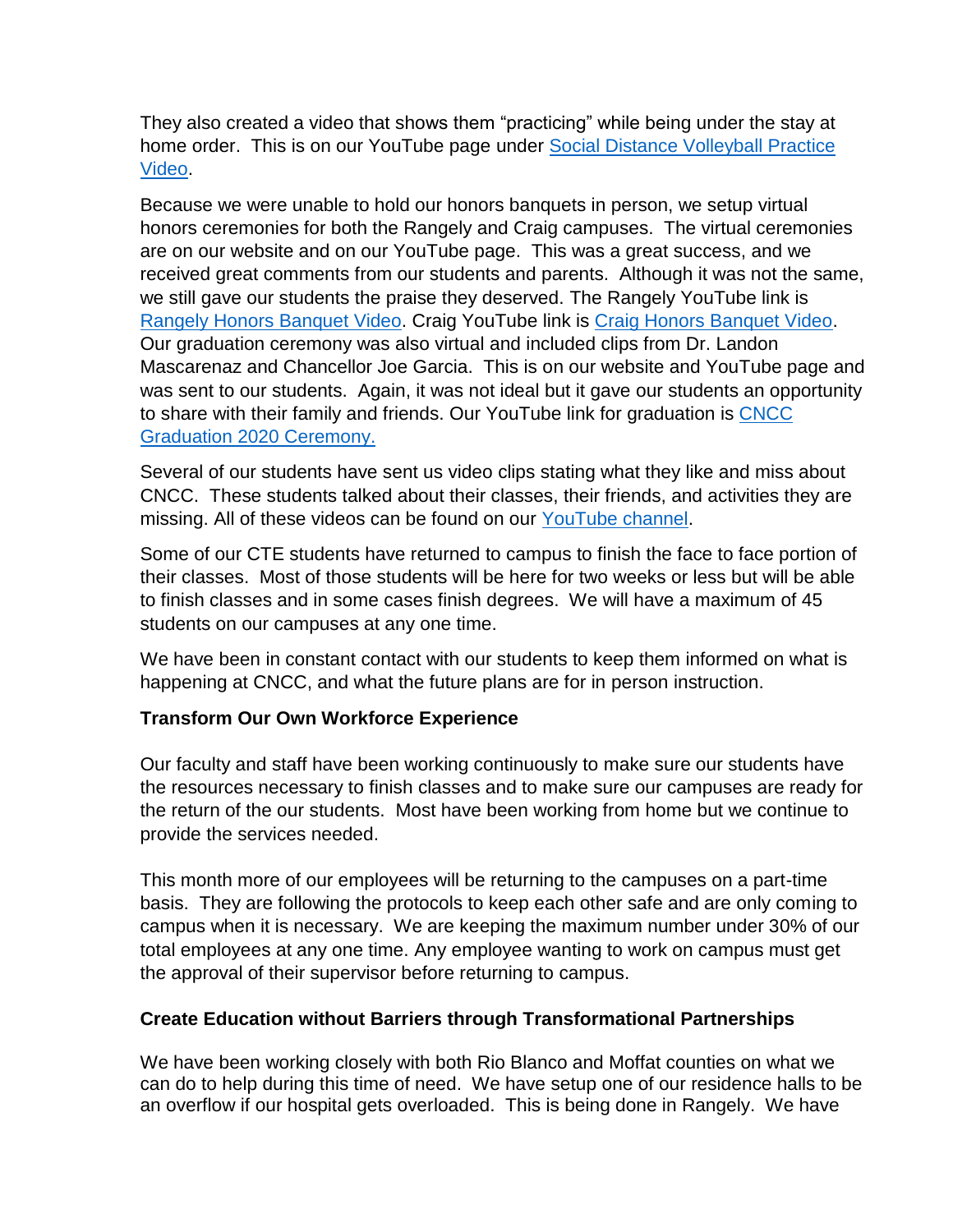They also created a video that shows them "practicing" while being under the stay at home order. This is on our YouTube page under [Social Distance Volleyball Practice](https://www.youtube.com/watch?v=1-y3weqqW_o)  [Video.](https://www.youtube.com/watch?v=1-y3weqqW_o)

 honors ceremonies for both the Rangely and Craig campuses. The virtual ceremonies are on our website and on our YouTube page. This was a great success, and we was sent to our students. Again, it was not ideal but it gave our students an opportunity Because we were unable to hold our honors banquets in person, we setup virtual received great comments from our students and parents. Although it was not the same, we still gave our students the praise they deserved. The Rangely YouTube link is [Rangely Honors Banquet Video.](https://www.youtube.com/watch?v=lR3PMGZUu90&t=12s) Craig YouTube link is [Craig Honors Banquet Video.](https://www.youtube.com/watch?v=xwC33xaHRB8) Our graduation ceremony was also virtual and included clips from Dr. Landon Mascarenaz and Chancellor Joe Garcia. This is on our website and YouTube page and to share with their family and friends. Our YouTube link for graduation is [CNCC](https://www.youtube.com/watch?v=eZhAGJjdBjA)  [Graduation 2020 Ceremony.](https://www.youtube.com/watch?v=eZhAGJjdBjA) 

 Several of our students have sent us video clips stating what they like and miss about missing. All of these videos can be found on our [YouTube channel.](https://www.youtube.com/channel/UCiyPqwOvv1bFRuTvHy0MwyQ?view_as=subscriber) CNCC. These students talked about their classes, their friends, and activities they are

 Some of our CTE students have returned to campus to finish the face to face portion of their classes. Most of those students will be here for two weeks or less but will be able to finish classes and in some cases finish degrees. We will have a maximum of 45 students on our campuses at any one time.

 happening at CNCC, and what the future plans are for in person instruction. We have been in constant contact with our students to keep them informed on what is

## **Transform Our Own Workforce Experience**

 the return of the our students. Most have been working from home but we continue to Our faculty and staff have been working continuously to make sure our students have the resources necessary to finish classes and to make sure our campuses are ready for provide the services needed.

 basis. They are following the protocols to keep each other safe and are only coming to campus when it is necessary. We are keeping the maximum number under 30% of our This month more of our employees will be returning to the campuses on a part-time total employees at any one time. Any employee wanting to work on campus must get the approval of their supervisor before returning to campus.

## **Create Education without Barriers through Transformational Partnerships**

 can do to help during this time of need. We have setup one of our residence halls to be an overflow if our hospital gets overloaded. This is being done in Rangely. We have We have been working closely with both Rio Blanco and Moffat counties on what we